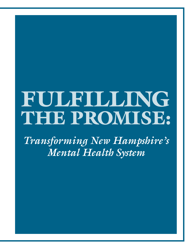# **FULFILLING THE PROMISE:**

*Transforming New Hampshire's Mental Health System*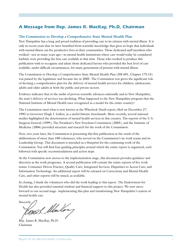# *A Message from Rep. James R. MacKay, Ph.D, Chairman*

#### **The Commission to Develop a Comprehensive State Mental Health Plan**

New Hampshire has a long and proud tradition of providing care to its citizens with mental illness. It is only in recent years that we have benefited from scientific knowledge that gives us hope that individuals with mental illness can live productive lives in their communities. Those dedicated staff members who worked—not so many years ago—in mental health institutions where care would today be considered barbaric were providing the best care available at that time. Those who worked to produce this publication wish to recognize and salute those dedicated heroes who provided the best level of care available, under difficult circumstances, for many generations of persons with mental illness.

The Commission to Develop a Comprehensive State Mental Health Plan (HB 691, Chapter 175:15) was passed by the legislature and became law in 2005. The Commission was given the significant role of devising a comprehensive plan for the delivery of mental health services for children, adolescents, adults and older adults in both the public and private sectors.

Evidence indicates that in the midst of proven scientific advances nationally and in New Hampshire, the state's delivery of services was declining. What happened to the New Hampshire program that the National Institute of Mental Health once recognized as a model for the entire country?

The Commission used what is now known as the Wheelock-Nardi report, filed on December 27, 1982 to Governor Hugh J. Gallen, as a useful historic benchmark. More recently, several national studies highlighted the deterioration of mental health services in this country. The reports of the U.S. Surgeon General (1999), The President's New Freedom Commission (2003), and the Institute of Medicine (2006) provided structure and research for the work of the Commission.

Now, two years later, the Commission is presenting this first publication as the result of the deliberations of more than 100 volunteers, who served on the Commission's six work teams and its Leadership Group. This document is intended as a blueprint for the continuing work of the Commission. You will find four guiding principles around which the entire report is organized, each followed with specific recommendations and action steps.

As the Commission now moves to the implementation stage, this document provides guidance and direction as the work progresses. A second publication will contain the entire reports of five work teams: Consumer Driven Practice; Quality Care; Integrated Services; Disparities to Access Care; and Information Technology. An additional report will be released on Corrections and Mental Health Care, and other reports will be issued, as available.

In closing, I thank the volunteers who did the work leading to this report. The Endowment for Health has also provided essential wisdom and financial support to this project. We now move forward to our second stage--implementing this plan and transforming New Hampshire's system of mental health care.

Sincerely,

Rep. James R. MacKay, Ph.D. Chairman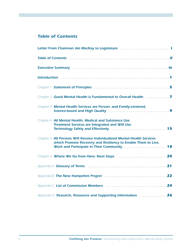# *Table of Contents*

| Executive Summary Material Account of the Contract of the Summary Material Account of the Contract of the Contract of the Contract of the Contract of the Contract of the Contract of the Contract of the Contract of the Cont |
|--------------------------------------------------------------------------------------------------------------------------------------------------------------------------------------------------------------------------------|
|                                                                                                                                                                                                                                |
|                                                                                                                                                                                                                                |
|                                                                                                                                                                                                                                |
| Chapter 3: Mental Health Services are Person- and Family-centered,                                                                                                                                                             |
| Chapter 4: All Mental Health, Medical and Substance Use<br><b>Treatment Services are Integrated and Will Use</b><br>Technology Safely and Effectively [10] Marshall Marson Marson 15                                           |
| Chapter 5: All Persons Will Receive Individualized Mental Health Services<br>which Promote Recovery and Resiliency to Enable Them to Live,<br>Work and Participate in Their Community  18                                      |
|                                                                                                                                                                                                                                |
|                                                                                                                                                                                                                                |
|                                                                                                                                                                                                                                |
| Appendix C: List of Commission Members (and all contains a set of 24                                                                                                                                                           |
| Appendix D: Research, Resources and Supporting Information  26                                                                                                                                                                 |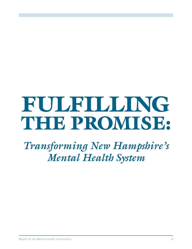# **FULFILLING THE PROMISE:**

*Transforming New Hampshire's Mental Health System*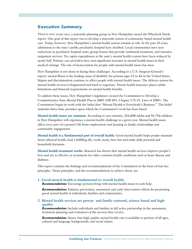# *Executive Summary*

TWENTY-FIVE YEARS AGO, a statewide planning group in New Hampshire issued the Wheelock-Nardi report. One goal of this report was to develop a statewide system of community-based mental health care. Today, however, New Hampshire's mental health system remains at risk. In the past 10 years, admissions to the state's public psychiatric hospital have doubled. Local communities have seen reductions in psychiatric hospital units, group homes that provide residential treatment, and intensive outpatient services. Per capita expenditures at the state's mental health centers have been reduced by nearly half. Primary care providers have seen significant increases in mental health issues in their medical settings. The rate of incarceration for people with mental health issues has risen.

New Hampshire is not alone in facing these challenges. According to a U.S. Surgeon General's report, mental illness is the leading cause of disability for persons ages 15 to 44 in the United States. Stigma and discrimination continue to affect people with mental health issues. The delivery system for mental health services is fragmented and hard to negotiate. Private health insurance places unfair limitations and financial requirements on mental health benefits.

To address these issues, New Hampshire's legislature created the Commission to Develop a Comprehensive State Mental Health Plan in 2005 (HB 691, Chapter 175:15, Laws of 2005). The Commission began its work with the belief that "Mental Health is Everybody's Business." This belief underlies three basic premises upon which the Commission's work has been based:

**Mental health issues are common**. According to one estimate, 254,000 adults and 55,756 children in New Hampshire will experience a mental health challenge in a given year. Mental health issues affect every part of a person's life from employment and housing to family relationships and community engagement.

**Mental health is a fundamental part of overall health**. Good mental health helps people maintain better physical health, lead a fulfilling life, work, study, have fun and make daily personal and household decisions.

**Mental health treatment works**. Research has shown that mental health services improve people's lives and are as effective as treatments for other common health conditions such as heart disease and diabetes.

This report contains the findings and recommendations of the Commission in the form of four key principles. Those principles, and the recommendations to achieve them, are:

#### **1. Good mental health is fundamental to overall health.**

*Recommendation:* Encourage persons living with mental health issues to seek help.

*Recommendation:* Enhance prevention, assessment and early intervention efforts for promoting good mental health in individuals, families and communities.

#### **2. Mental health services are person- and family-centered, science-based and highquality.**

*Recommendation:* Include individuals and families in full active partnership in the assessment, treatment planning and evaluation of the services they receive.

*Recommendation:* Assure that high-quality mental health care is available to persons of all ages, cultural and language backgrounds, and social classes.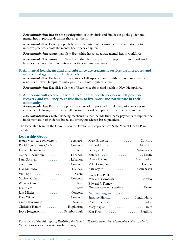*Recommendation:* Increase the participation of individuals and families in public policy and mental health practice decisions that affect them.

*Recommendation:* Develop a publicly available system of measurement and monitoring to improve practices across the mental health service system.

*Recommendation:* Assure that New Hampshire has an adequate mental health workforce.

*Recommendation:* Assure that New Hampshire has adequate acute psychiatric and residential care facilities that coordinate and integrate with community services.

#### **3. All mental health, medical and substance use treatment services are integrated and use technology safely and effectively.**

*Recommendation:* Facilitate the integration of all aspects of our health care system so that all residents of New Hampshire participate in a seamless system of care.

*Recommendation:* Establish a Center of Excellence for mental health in New Hampshire.

#### **4. All persons will receive individualized mental health services which promote recovery and resiliency to enable them to live, work and participate in their community.**

*Recommendation:* Ensure an appropriate range of support and social integration services to enable people living with a mental illness to live, work and participate in their community.

*Recommendation:* Create financing mechanisms that include third party payments to support the implementation of evidence-based and emerging science-based practices.

The leadership team of the Commission to Develop a Comprehensive State Mental Health Plan includes:

#### **Leadership Group**

| James MacKay, Chairman Concord  | Mary Brunette Concord           |
|---------------------------------|---------------------------------|
| David Lynde, Vice Chair Concord | Richard Learned Meredith        |
| Daniel Daniszewski Laconia      | Peter Janelle Manchester        |
| Nancy J. Beaudoin Lebanon       | Ken Jue <i></i> Keene           |
| Paul Gorman Lebanon             | Nancy Rollins New London        |
| Susan Fox Concord               | Mike Coughlin Laconia           |
| Lisa Mercado Loudon             | Kate Saylor Manchester          |
|                                 | Linda Fox Phillips,             |
| Michael Cohen Concord           | Project Coordinator Conway      |
| William Gunn Bow                | Edward J. Tomey,                |
|                                 | Organizational Consultant Keene |
| Lisa Mistler Concord            | Non-voting members              |
| Rose Wiant Concord              | Suzanne Harrison Londonderry    |
| Cindy Rosenwald Nashua          | Claudia Ferber Loudon           |
| Christine Hamm Hopkinton        | Mary Kaplan Hollis              |
| Joyce Jorgenson Peterborough    | Kim Firth Albert 1997, Eradford |

For a copy of the full report, *Fulfilling the Promise: Transforming New Hampshire's Mental Health System*, visit www.endowmentforhealth.org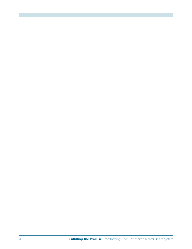*vi Fulfilling the Promise: Transforming New Hampshire's Mental Health System*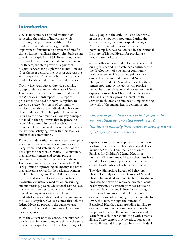# *Introduction*

New Hampshire has a proud tradition of respecting the rights of individuals while providing compassionate health care for its residents. The state has recognized the importance of maintaining a system of care for those with mental illness since it first built a state psychiatric hospital in 1834. Even though very little was known about mental illness and mental health care, the state provided significant hospital services for people with mental illnesses. Over the next century, the locus of care was the state hospital in Concord, where many people resided for stays that often exceeded decades.

Twenty-five years ago, a statewide planning group carefully examined the state of New Hampshire's mental health system and issued the Wheelock-Nardi report. This report proclaimed the need for New Hampshire to develop a statewide system of community services to enable those individuals who were then residing at New Hampshire Hospital to return to their communities. One key principle outlined in the report was that by providing accessible community-based services, many more people with mental illnesses would be able to live more satisfying lives with their families and in their communities.

From the mid-1980s, the state started developing a comprehensive system of community services using federal and state funds. As a result of this development, there are currently 10 community mental health centers and several private community mental health providers in the state. Each community mental health center (CMHC) is responsible for providing emergency and other mental health services for the residents living in the 10 defined regions. The CMHCs provide essential and safety net services that include psychiatric evaluations, medication prescribing and monitoring, psycho-educational services, case management services, therapy, medication, limited employment services and limited residential services. While most of the funding for the New Hampshire CMHCs comes through the federal Medicaid program, the agencies raise funds from their local communities, fundraising, fees and grants.

With the advent of these centers, the number of people receiving care at any one time at the state psychiatric hospital was reduced from a high of

2,800 people in the early 1970s to less than 200 in the acute inpatient programs. During the course of a year, the state hospital manages 2,400 inpatient admissions. In the late 1980s, New Hampshire was recognized by the National Institute of Mental Health for providing a model system of care.

Several other important developments occurred during this period. The state had contributed to the development of a system of community health centers, which provided primary health care to low income and uninsured New Hampshire residents. Several of these health care centers now employ therapists who provide mental health services. Several private non-profit organizations such as Child and Family Services of New Hampshire provide mental health services to children and families. Complementing the work of the mental health centers, several

*This system provides services to help people with mental illness by removing barriers and limitations and help them restore or develop a sense of belonging to a community.*

organizations providing support and education for family members have been developed. These include NAMI-NH and the Federation of Families for Children's Mental Health. A number of licensed mental health therapists have also developed private practices; many of them contract with public schools to serve children.

The New Hampshire Bureau of Behavioral Health, formerly called the Division of Mental Health, has worked with mental health treatment providers to develop a recovery-oriented mental health system. This system provides services to help people with mental illness by removing barriers and limitations and help them restore or develop a sense of belonging to a community. In 1988, the state, through the Bureau of Behavioral Health, began providing funding to develop a system of peer support centers where people with mental illness could support and learn from each other about living with a mental illness. These centers provide education about mental illness, add supports when an individual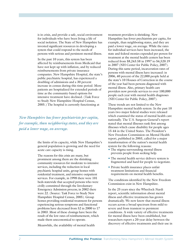is in crisis, and provide a safe, social environment for individuals who have been living a life of social isolation. The State of New Hampshire has invested significant resources in developing a system that could respond to the needs of persons with serious and persistent mental illness.

In the past 10 years, this system has been affected by reimbursements from Medicaid that have not kept up with inflation, and by reduced reimbursements from private insurance companies. New Hampshire Hospital, the state's public psychiatric hospital, has experienced a doubling of admissions and a 30 percent increase in census during this time period. More patients are hospitalized for extended periods of time as the community-based options for intensive treatment have declined. (Task Force to Study New Hampshire Hospital Census, 2005.) The hospital is currently functioning at

*New Hampshire has fewer psychiatrists per capita, for example, than neighboring states, and they are paid a lower wage, on average.*

> the limits of its capacity, while New Hampshire's general population is growing and the need for acute care capacity is rising.

> The reasons for this crisis are many, but prominent among them are the shrinking community resources for moderate to intensive services, including the reduction in local psychiatric hospital units, group homes with residential treatment, and intensive outpatient services. For example, in 1998 there were 101 beds statewide that accepted persons who were civilly committed through the Involuntary Emergency Admission process; in 2002 there were 22. (Source: Task Force to Study New Hampshire Hospital Census, 2005). Group homes providing residential treatment for persons experiencing serious symptoms and functional problems have decreased from 52 in 2000 to 17 in 2003. Most of these closings have been the result of the low rates of reimbursement, which made them uneconomical to operate.

Meanwhile, the availability of mental health

treatment providers is shrinking. New Hampshire has fewer psychiatrists per capita, for example, than neighboring states, and they are paid a lower wage, on average. While the rates for individual services have been increased, the state and federal monies expended per person for treatment at the mental health centers has been reduced from \$8,243.58 in 1997 to \$4,520.19 in 2007 (NH Center for Public Policy, 2007). During this same period, incarceration rates of persons with mental illness have increased: in 2006, 40 percent of the 22,000 people held at the state's 10 Houses of Correction in the course of the year had been persons diagnosed with mental illness. Also, primary health care providers now provide services to over 100,000 people each year with mental health diagnoses (NH Center for Public Policy, 2007).

These trends are not limited to the New Hampshire mental health system. In the past 10 years two major federal studies were released which examined the status of mental health care nationally. The U.S. Surgeon General's report stated that mental illnesses rank first among illnesses which cause disability for people ages 15-44 in the United States. The President's New Freedom Commission on Mental Health report, published in 2003, called for a major transformation of the nation's mental health system for the following reasons:

- The stigma surrounding mental illness prevents people from seeking help.
- The mental health service delivery system is fragmented and hard for people to negotiate.
- Private health insurance places unfair treatment limitations and financial requirements on mental health benefits.

The conditions identified by the New Freedom Commission exist in New Hampshire.

In the 25 years since the Wheelock-Nardi report, scientific information about mental illness and effective treatments has grown dramatically. We now know that mental illness occurs across a broad spectrum from mild to severe and from transient to persistent conditions. A wide variety of effective treatments for mental illness have been established, but researchers report a 20-year delay between the discovery of effective treatments and their use in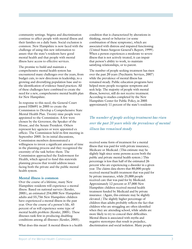community settings. Stigma and discrimination continue to affect people with mental illness and their families on a daily basis. Social exclusion is common. New Hampshire is now faced with the challenge of using this new information to assure that the state's residents have good mental health and that people with mental illness have access to effective services.

The promise to build and maintain a comprehensive mental health system has encountered many challenges over the years, from budget cuts, to new directions in leadership, to a growing and diversifying population base and to the identification of evidence-based practices. All of these challenges have combined to create the need for a new, comprehensive mental health plan for New Hampshire.

In response to this need, the General Court passed HB691 in 2005 to create the Commission to Develop a Comprehensive State Mental Health Plan. Twenty-nine people were appointed to the Commission. A few were chosen by the Governor, the Speaker of the House, and the Senate President. Others represent key agencies or were appointed ex officio. The Commission held its first meeting in September 2005. In its initial discussions, Commission members demonstrated a willingness to invest a significant amount of time in the planning process and they recognized the enormity of the task before them. The Commission approached the Endowment for Health, which agreed to fund this statewide planning process that would address issues facing both the private and the public mental health system.

#### **Mental illness is common**

Over the course of a lifetime, many New Hampshire residents will experience a mental illness. Based on national surveys (Kessler, 2005), an estimated 254,000 New Hampshire adults and 55,756 New Hampshire children have experienced a mental illness in the past year. Over the course of a person's life, 45 percent of us will experience some type of mental health problem (Kessler, 2005). These illnesses rank first in producing disabling conditions among all illnesses (Kessler, 2005).

What does this mean? A mental illness is a health

condition that is characterized by alterations in thinking, mood or behavior (or some combination of these symptoms), which are associated with distress and impaired functioning (United States Surgeon General's Report, 1999). When a person experiences a moderate to severe illness that is not actively treated, it can impair that person's ability to work, to maintain satisfying relationships, or to parent.

The number of people seeking treatment has risen over the past 20 years (Psychiatric Services, 2007) while the prevalence of mental illness has remained steady. Public education programs have helped more people recognize symptoms and seek help. The majority of people with mental illness, however, still do not receive treatment. According to studies completed by the New Hampshire Center for Public Policy, in 2005 approximately 11 percent of the state's residents

*The number of people seeking treatment has risen over the past 20 years while the prevalence of mental illness has remained steady*

received some form of treatment for a mental illness that was paid for with private insurance, Medicare or Medicaid. (This estimate may be slightly high since some persons access both the public and private mental health system.) This percentage is less than half of the estimated 26 percent who are experiencing a disorder in a given year. The claims data shows that 80,000 people received mental health treatment that was paid for by private insurance, while 25,000 people received care that was paid for by Medicaid. Approximately 12 percent or 37,000 New Hampshire children received mental health treatment funded by Medicaid and by private insurance. (Again, this estimate may be slightly elevated.) The slightly higher percentage of children than adults probably reflects the fact that children who are struggling are often identified when they are attending school, while adults are more likely to try to conceal their difficulties. Mental illness is associated with myths and negative stereotypes that result in prejudice, discrimination and social isolation. Many people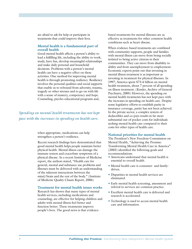are afraid to ask for help or participate in treatments that could improve their lives.

#### **Mental health is a fundamental part of overall health**

Good mental health affects a person's ability to lead a fulfilling life, including the ability to work, study, have fun, develop meaningful relationships and make daily personal and household decisions. Problems with a person's mental health can have a negative effect on these activities. One method for improving mental health is through promoting resiliency. Resiliency involves the personal qualities and social supports that enable us to rebound from adversity, trauma, tragedy or other stresses and to go on with life with a sense of mastery, competency and hope. Counseling, psycho-educational programs and,

*Spending on mental health treatments has not kept pace with the increases in spending on health care.* 

> when appropriate, medications can help strengthen a person's resilience.

Recent research findings have demonstrated that good mental health helps people maintain better physical health. Mental illness can damage the immune system and exacerbate symptoms of a physical disease. In a recent Institute of Medicine report, the authors stated, "Health care for general, mental and substance use problems and illnesses must be delivered with an understanding of the inherent interactions between the mind/brain and the rest of the body." (Institute of Medicine Quality Chasm Report, 2006)

#### **Treatment for mental health issues works**

Research has shown that many types of mental health services, including medications and counseling, are effective for helping children and adults with mental illness feel better and function better. These treatments improve people's lives. The good news is that evidencebased treatments for mental illnesses are as effective as treatments for other common health conditions such as heart disease.

When evidence-based treatments are combined with community supports, people and families with mental illness can move from being socially isolated to being active citizens in their communities. They can move from disability to ability and from unemployment to employment. Economic experts point out that investing in mental illness treatment is as important as investing in treatment for physical illnesses. In 1997, America spent \$73.4 billion on mental health treatment, about 7 percent of all spending on illness treatment. (Kessler, Archive of General Psychiatry, 2005) However, the spending on mental health treatments has not kept pace with the increases in spending on health care. Despite some legislative efforts to establish parity in insurance coverage, parity has not been achieved. In the private sector, a complex system of deductibles and co-pays results in far more substantial out-of-pocket costs for individuals seeking mental health care compared to their costs for other types of health care.

#### **National priorities for mental health**

The President's New Freedom Commission on Mental Health, "Achieving the Promise: Transforming Mental Health Care in America" (2003) identified the following goals and recommendations:

- Americans understand that mental health is essential to overall health.
- Mental health care is consumer- and familydriven.
- Disparities in mental health services are eliminated.
- Early mental health screening, assessment and referral to services are common practice.
- Excellent mental health care is delivered and research is accelerated.
- Technology is used to access mental health care and information.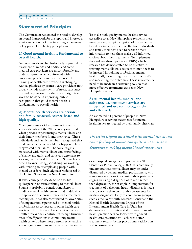# *CHAPTER 1*

# *Statement of Principles*

The Commission recognized the need to develop an overall framework for the report and invested a significant amount of time in writing a statement of key principles. The key principles are:

#### **1) Good mental health is fundamental to overall health.**

American medicine has historically separated the treatment of minds and bodies, and some medical care providers are uncomfortable and under-prepared when confronted with emotional problems in their patients. The training of health care providers is changing. Annual physicals by primary care physicians now usually include assessments of stress, substance use and depression. But there is still significant work to be done in improving public recognition that good mental health is fundamental to overall health.

#### **2) Mental health services are person and family-centered, science-based and high-quality.**

One significant social movement in the last several decades of the 20th century occurred when persons experiencing a mental illness and their family members found their voice. These individuals and family members recognized that fundamental change would not happen unless they voiced their issues. The social stigma associated with mental illness can cause feelings of shame and guilt, and serve as a deterrent to seeking mental health treatment. Stigma leads others to avoid living, socializing, or working with, renting to or employing people with mental disorders. Such stigma is widespread in the United States and in New Hampshire.

It takes courage to decide to be a visible spokesperson on issues relating to mental illness. Stigma is probably a contributing factor in funding mental health research and in delaying the application of proven research to treatment techniques. It has also contributed to lower rates of compensation experienced by mental health professionals as compared to other health care workers. The unfair reimbursement of mental health professionals contributes to high turnover rates of staff positions in community mental health centers where most persons experiencing severe symptoms of mental illness seek treatment.

To make high quality mental health services accessible to all New Hampshire residents there must be a more rapid adoption of the evidencebased practices identified as effective. Individuals and family members need to receive timely information to help them make well-informed choices about their treatments. To implement the evidence-based practices (EBPs) which research has demonstrated to be effective in treating mental illness, adequate money needs to be invested in training professional mental health staff, monitoring their delivery of EBPs and measuring the outcomes. These investments need to be made in a sustaining way so that more effective treatments can reach New Hampshire residents.

#### **3) All mental health, medical and substance use treatment services are integrated and use technology safely and effectively.**

An estimated 54 percent of people in New Hampshire receiving treatments for mental health issues are treated by their family physician

*The social stigma associated with mental illness can cause feelings of shame and guilt, and serve as a deterrent to seeking mental health treatment.*

or in hospital emergency departments (NH Center for Public Policy, 2007). It is commonly understood that mental illness may be underdiagnosed by general medical practitioners, who sometimes try to avoid exposing their patients to stigma by using a diagnosis of "tired" rather than depression, for example. Compensation for treatment of behavioral health diagnoses is made at a lower rate than comparable treatments for medical diagnoses. Early research from groups such as the Dartmouth Research Center and the Mental Health Integration Project of the Intermountain Health Care in Utah has demonstrated that integrated care—with mental health practitioners co-located with general health care practitioners—achieves better treatment results, better practitioner satisfaction and is cost-neutral.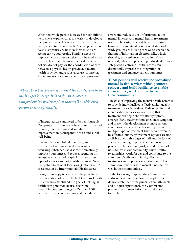When the whole person is treated for conditions he or she is experiencing, it is easier to develop a comprehensive wellness plan that will enable each person to live optimally. Several projects in New Hampshire are now co-located and are seeing early good results. Funding needs to improve before these practices can be used more broadly. For example, most medical insurance policies do not pay for the coordination of care between a physical health provider, a mental health provider and a substance use counselor. These functions are important to the provision

*When the whole person is treated for conditions he or she is experiencing, it is easier to develop a comprehensive wellness plan that will enable each person to live optimally.*

> of integrated care and need to be reimbursable. One project that integrates health, nutrition and exercise, has demonstrated significant improvement in participants' health and social well-being.

Research has established that integrated treatment of serious mental illness and cooccurring substance use disorder dramatically improves outcomes and reduces spending on emergency room and hospital care, yet these types of services are not available at most New Hampshire treatment locations.(October 2007 presentation by Intermountain Healthcare.)

Using technology is one way to help facilitate the integration of care. The NH Citizens Health Initiative has established the goal of helping all health care practitioners use electronic prescribing (eprescribing) by October 2008 because it has been demonstrated to reduce

errors and reduce costs. Information about mental illnesses and mental health treatments needs to be easily accessed by more persons living with a mental illness. Several statewide study groups are looking at ways to enable the sharing of information electronically, which should greatly enhance the quality of care received, while still protecting individual privacy. Integrated electronic health records can dramatically improve the integration of treatment and enhance patient outcomes.

#### **4) All persons will receive individualized mental health services which promote recovery and build resilience to enable them to live, work and participate in their community.**

The goal of improving the mental health system is to provide individualized, effective, high quality treatment for each resident. Early screening and identification services are needed so that treatment can begin shortly after symptoms emerge. Early treatment can ameliorate symptoms and prevent the development of more serious conditions in many cases. For most persons, multiple types of treatment have been proven to be effective, but many treatment options are not available due to shortages of staff and the lack of adequate training of providers in improved practices. The common goal, shared by each of us, is to live in our community, enjoy healthy relationships, work for pay and contribute to the community's vibrancy. Timely, effective treatments and support can enable more New Hampshire residents with mental illness to live well in their communities.

In the following chapters, the Commission addresses each of these four principles. To demonstrate that these principles are attainable and not just aspirational, the Commission presents recommendations and action steps for each.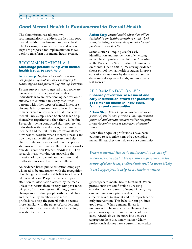# *CHAPTER 2*

# *Good Mental Health is Fundamental to Overall Health*

The Commission has adopted two recommendations to address the fact that good mental health is fundamental to overall health. The following recommendations and action steps are proposed for implementation as we work to transform our mental health system.

#### *RECOMMENDATION # 1: Encourage persons living with mental health issues to seek help.*

**Action Step:** *Implement a public education campaign using evidence-based messaging to reduce stigma and promote help-seeking behaviors.*

Recent surveys have suggested that people are less worried than they used to be about individuals who are experiencing depression or anxiety, but continue to worry that other persons with other types of mental illness are violent. It is not uncommon to hear dismissive remarks which reflect a belief that people with mental illness simply need to stand taller, to pull themselves together and then they will be fine. Research is being conducted right now to help individuals with mental illness, their family members and mental health professionals learn how best to describe what a mental illness is and how they can be effectively treated to help eliminate the stereotypes and misconceptions still associated with mental illness. (Frameworks Suicide Prevention Project, NAMI NH.) This research is also working on answering the question of how to eliminate the stigma and myths still associated with mental illness.

An evidence-based public education campaign will need to be undertaken with the recognition that changing attitudes and beliefs in adults will take several years. People often do not pay attention to information offered by the media unless it concerns them directly. But persistence will pay off as more research findings, more champions including people with mental illness and their family members, and more professionals help the general public become more familiar with the range of disorders and the effective treatments which are becoming available to treat them.

**Action Step:** *Mental health education will be included in the health curriculum at all school levels, including post-secondary technical schools, for students and faculty.*

Schools offer a unique place for early identification and intervention of emerging mental health problems in children. According to the President's New Freedom Commission on Mental Health (2003), "Growing evidence shows school mental health programs improve educational outcomes by decreasing absences, decreasing discipline referrals, and improving test scores."

## *RECOMMENDATION #2:*

#### *Enhance prevention, assessment and early intervention efforts for promoting good mental health in individuals, families and communities.*

**Action Step:** *Train professionals such as school personnel, health care providers, law enforcement personnel and human resource staff to recognize, screen for and respond to early signs of mental illness.*

When these types of professionals have been educated to recognize signs of a developing mental illness, they can help serve as community

*When a mental illness is understood to be one of many illnesses that a person may experience in the course of their lives, individuals will be more likely to seek appropriate help in a timely manner.*

gatekeepers to mental health treatment. When professionals are comfortable discussing emotions and symptoms of mental illness, they can communicate optimism about the effectiveness of treatment and the importance of early intervention. This behavior can produce good results. When a mental illness is understood to be one of many illnesses that a person may experience in the course of their lives, individuals will be more likely to seek appropriate help in a timely manner. Many professionals do not have a current knowledge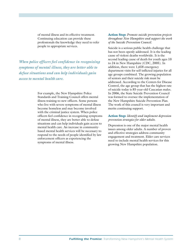of mental illness and its effective treatment. Continuing education can provide these professionals the knowledge they need to refer people to appropriate services.

*When police officers feel confidence in recognizing symptoms of mental illness, they are better able to defuse situations and can help individuals gain access to mental health care.*

> For example, the New Hampshire Police Standards and Training Council offers mental illness training to new officers. Some persons who live with severe symptoms of mental illness become homeless and may become involved with the criminal justice system. When police officers feel confidence in recognizing symptoms of mental illness, they are better able to defuse situations and can help individuals gain access to mental health care. An increase in communitybased mental health services will be necessary to respond to the needs of people identified by law enforcement officers as experiencing the symptoms of mental illness.

**Action Step:** *Promote suicide prevention projects throughout New Hampshire and support the work of the Suicide Prevention Council.* 

Suicide is a serious public health challenge that has not been openly addressed. It is the leading cause of violent deaths worldwide. It is the second leading cause of death for youth ages 10 to 24 in New Hampshire (CDC, 2005). In addition, there were 1,658 emergency department visits for self-inflicted injuries for all age groups combined. The growing population of seniors and their suicide risk must be addressed. According to the Centers for Disease Control, the age group that has the highest rate of suicide today is 85-year-old Caucasian males. In 2006, the State Suicide Prevention Council was formed to oversee the implementation of the New Hampshire Suicide Prevention Plan. The work of this council is very important and merits continuing support.

#### **Action Step:** *Identify and implement depression prevention strategies for older adults.*

Depression is one of the major mental health issues among older adults. A number of proven and effective strategies address community engagement and treatment. Elder care services need to include mental health services for this growing New Hampshire population.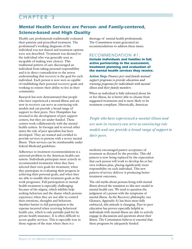# *CHAPTER 3*

# *Mental Health Services are Person- and Family-centered, Science-based and High Quality*

Health care professionals traditionally evaluated their patients and prescribed treatment. The professional's working diagnosis of the individual was not shared and treatment options were not described. Treatment was dictated to the individual who was generally seen as incapable of making wise choices. This traditional pattern of care discouraged an individual from taking personal responsibility and is in direct contradiction to the newer understanding that recovery is the goal for each individual. Each person is now seen as capable of establishing their personal recovery goals and working to restore their ability to live in their community.

Research has now demonstrated that people who have experienced a mental illness and are now in recovery can serve as convincing role models and can provide a broad range of support to their peers. New Hampshire has invested in the development of peer support centers, but they are under-funded. These centers work collaboratively with the mental health centers. In Georgia and in several other states the role of peer specialists has been developed. They are trained and certified to provide services to persons with a severe mental illness. Their services can be reimbursable under federal Medicaid guidelines.

Adherence to treatment recommendations is a universal problem in the American health care system. Individuals participate more actively in recommended treatments when they have selected their own goals for treatment, when they participate in evaluating their progress in achieving their personal goals, and when they are able to modify their treatment goals as the work progresses. Full participation in mental health treatment is especially challenging because of the stigma, which inhibits helpseeking behaviors and the shame which persons experience when they are not able to control their emotions, thoughts and behaviors. Another barrier to full participation is the expense incurred when receiving behavioral health care, which is only partially paid for by private health insurance. It is often difficult to access quality services. This is especially true in those regions of the state where there is a

shortage of mental health professionals. The Commission teams generated six recommendations to address these issues.

## *RECOMMENDATION #1:*

#### *Include individuals and families in full, active partnership in the assessment, treatment planning and evaluation of the mental health services they receive.*

**Action Step:** *Finance peer and family mutual support programs to provide education and training programs for individuals with mental illness and their family members.*

When an individual is fully informed about his or her illness, he is better able to choose from suggested treatments and is more likely to be treatment-compliant. Historically, American

*People who have experienced a mental illness and are now in recovery can serve as convincing role models and can provide a broad range of support to their peers.*

medicine encouraged passive acceptance of treatment as dictated by the provider. This old pattern is now being replaced by the expectation that each person will work to develop his or her own wellness plan, placing significantly more responsibility on each individual. This new pattern of service delivery is producing better treatment outcomes.

The old myths about persons living with mental illness slowed the transition to this new model in mental health care. We tend to question the judgment of a person with the symptoms of mental illness. As the Recovery philosophy (see Glossary, Appendix A) has been more fully embraced, this attitude is changing. Peer-to-peer education has proven especially helpful as individuals with mental illness are able to actively engage in discussions and questions about their illness. The Commission believes it essential that these programs be adequately funded.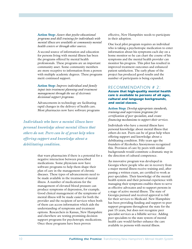**Action Step:** *Assure that psycho-educational programs and skill training for individuals with mental illness are available at community mental health centers or through other sources.*

A second source of information and education for persons living with mental illness has been the programs offered by mental health professionals. These programs are an important community asset. Some community members are more receptive to information from a person with multiple academic degrees. These programs merit continued support.

**Action Step:** *Improve individual and family input into treatment planning and treatment management through the use of electronic decisional support programs.*

Advancements in technology are facilitating rapid changes in the delivery of health care. Most pharmacies now have software programs

*Individuals who have a mental illness have personal knowledge about mental illness that others do not. Peers can be of great help when offering support and knowledge about a debilitating condition.*

> that warn pharmacists if there is a potential for a negative interaction between prescribed medications. Some physicians now have software programs to help them shape their plan of care in the management of chronic diseases. These types of advancements need to be made available in the treatment of mental illness. A number of medications for the management of elevated blood pressure can produce symptoms of depression, for example. Good clinical management of the symptoms of mental illness will be made easier for both the provider and the recipient of services when both of them can access information which aids the understanding of symptoms and treatment options. Researchers in Kansas, New Hampshire and elsewhere are testing promising decision support programs for psychotropic medications. Once these programs have been proven

effective, New Hampshire needs to participate in their adoption.

One local pilot program requires an individual who is taking a psychotropic medication to enter information about his symptoms each day on a home monitor so he can chart the course of his symptoms and the mental health provider can monitor his progress. This pilot has resulted in improved treatment outcomes and enhanced patient satisfaction. The early phase of the project has produced good results and the number of participants is being expanded.

### *RECOMMENDATION # 2:*

*Assure that high-quality mental health care is available to persons of all ages, cultural and language backgrounds, and social classes.*

**Action Step:** *Develop appropriate standards, training and supervision programs for certification of peer specialists, and create financing mechanisms to support their services.*

Individuals who have a mental illness have personal knowledge about mental illness that others do not. Peers can be of great help when offering support and knowledge about a debilitating condition. Fifty years ago the founders of Alcoholics Anonymous recognized this. Provision of care by peers with similar backgrounds would constitute a dramatic step in the direction of cultural competence.

An innovative program was developed in Georgia where people who are in recovery from a major mental illness receive training and, after passing a written exam, are certified to work as peer specialists. Their knowledge of the mental health system and their personal experience with managing their symptoms enables them to serve as effective advocates and to support persons in a stage of active mental illness. The state of Georgia pursued and received approval to bill for their services to Medicaid. New Hampshire has been providing funding and support to peer support programs throughout the state for the past 15 years, but does not recognize peer specialist services as a billable service. Adding peer specialists to the state system of mental health care would further enhance the care available to persons with mental illness.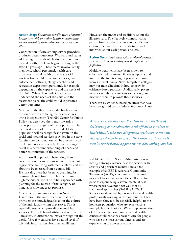**Action Step:** *Ensure the coordination of mental health care with any other health or community service needed by each individual with mental illness.* 

Coordination of care among service providers produces better outcomes. Wrap-around teams addressing the needs of children with serious mental health problems began meeting in the state 15 years ago. These teams involve family members, school personnel, health care providers, mental health providers, social workers from child protective services, law enforcement officers, clergy, coaches, and recreation department personnel, for example, depending on the experience and the needs of the child. When these individuals better understood the needs of the child and the treatment plans, the child would experience better outcomes.

More recently, this team model has been used for seniors who are facing major challenges living independently. The NH Center for Public Policy has described the trends towards a disproportionate aging of the population. The increased needs of this anticipated elderly population will place significant strain on the social and medical services provided in the state. Careful care coordination will be a necessity to use limited resources wisely. Team meetings result in a better understanding of needs and better coordination of the services.

A third small population benefiting from coordination of care is a group in the Seacoast region who are living with mental illness and are about to be released from a county jail. Historically, there has been no planning for persons released from jail. This contributes to a high recidivism rate. The initial experience with planning for the release of this category of inmates is showing great promise.

One issue gaining importance in New Hampshire is the need to ensure that care providers are knowledgeable about the culture of the individuals whom they serve. This is especially true when providing mental health services. The beliefs and attitudes about mental illness vary in different countries throughout the world. Very few cultures have a good level of scientific information about mental illness.

However, the myths and traditions about the illnesses vary. To effectively connect with a person from another country and a different culture, the care provider needs to be well informed about each person's beliefs.

#### **Action Step:** *Implement evidence-based practices in order to provide quality care for appropriate populations.*

Multiple treatments have been shown to effectively reduce mental illness symptoms and improve the functioning of people suffering from a mental illness. New Hampshire colleges may not train clinicians in how to provide evidence-based practices. Additionally, payers may not reimburse clinicians well enough to motivate them to provide these services.

There are six evidence-based practices that have been recognized by the federal Substance Abuse

*Assertive Community Treatment is a method of delivering comprehensive and effective services to individuals who are diagnosed with severe mental illness and who have needs that have not been well met by traditional approaches to delivering services.* 

and Mental Health Service Administration as having a strong evidence base for persons with serious and persistent mental illness. One example of an EBP is Assertive Community Treatment (ACT), a community team based model of treatment shown to be effective for persons experiencing a severe mental illness whose needs have not been well met by traditional approaches (SAMHSA, 2003). Services are delivered by a team of mental health professionals working in the community. They have been shown to be especially helpful to the homeless population who are experiencing multiple hospitalizations.. Wider implementation of this service by community mental health centers could enhance access to care for people who have the most serious illnesses and are experiencing the worst outcomes.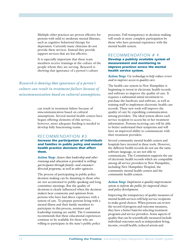Multiple other practices are proven effective for persons with mild to moderate mental illnesses, such as cognitive behavioral therapy for depression. Currently many clinicians do not provide these services. Instead they provide support services that are less effective.

It is especially important that these team members receive trainings in the culture of the people whom they are serving. Research is showing that ignorance of a person's culture

*Research is showing that ignorance of a person's culture can result in treatment failure because of miscommunication based on cultural assumptions.*

> can result in treatment failure because of miscommunication based on cultural assumptions. Several mental health centers have begun offering elements of this service, however, more adequate funding is needed to develop fully functioning teams.

#### *RECOMMENDATION #3:*

*Increase the participation of individuals and families in public policy and mental health practice decisions that affect them.*

**Action Step:** *Assure that leadership and other training and education is provided to willing participants through family- and consumerdirected programs, as well as other agencies.*

The process of participating in public policy decision-making can be daunting to those who are not accustomed to public speaking and long committee meetings. But the quality of decisions is clearly influenced when the decisionmakers hear comments and opinions from persons who have had direct experience with a system of care. To prepare persons living with a mental illness and their family members to participate in this process, seminars and leadership training are useful. The Commission recommends that these educational experiences continue to be available for those who are willing to participate in the state's public policy

processes. Full transparency in decision-making will result in more complete participation by those who have personal experience with the mental health system.

#### *RECOMMENDATION # 4:*

*Develop a publicly available system of measurement and monitoring to improve practices across the mental health service system.*

#### **Action Step:** *Use technology to help reduce errors and to improve access to quality care.*

The health care system in New Hampshire is beginning to invest in electronic health records and software to improve the quality of care. It requires a substantial initial investment to purchase the hardware and software, as well as training staff to implement electronic health care records. These new tools will improve the quality of care by expediting communication among providers. The ideal system allows each service recipient to access his or her treatment information. Persons receiving care will be able to better understand their symptoms and will have an improved ability to communicate with their treatment providers.

Several community mental health centers and hospitals have invested in these tools. However, the different health records do not use the same software language, so are not able to communicate. The Commission supports the use of electronic health records which are compatible among all service providers in New Hampshire, including New Hampshire Hospital, the community mental health centers and the community health centers.

#### **Action Step:** *Implement a quality improvement system to inform the public for improved choice and policy development.*

Improving the transparency of quality measures of mental health services will help service recipients to make good choices. When persons can review the record of progress and outcome measures, they have a better basis for selecting treatment programs and service providers. Some aspects of quality that can be scientifically measured include individual outcomes such as independent living, income, overall health, reduced arrests and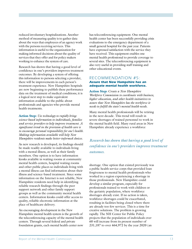reduced involuntary hospitalizations. Another method of measuring quality is to gather data about the ways that employees of an agency work with the persons receiving services. This information is useful to the organization for making informed decisions about the quality of services that they offer and for policy makers working to enhance the system of care.

Research has shown that having a good level of confidence in one's providers improves treatment outcomes. By developing a system of offering this information to persons selecting a provider, there will be improvements in each person's treatment experience. New Hampshire hospitals are now beginning to publish these performance data on the treatment of medical conditions; it is a logical next step to make equivalent information available to the public about professionals and agencies who provide mental health treatments.

**Action Step:** *Use technology to rapidly bring science-based information to individuals, families and service providers to help improve treatment. A significant trend in the provision of health care is to encourage personal responsibility for one's health. Making information available will help New Hampshire residents make better-informed choices.*

As new research is developed, its findings should be made readily available to individuals living with a mental illness, as well as their family members. One option is to have information kiosks available in waiting rooms at community mental health centers, hospital waiting rooms and other public places so individuals living with a mental illness can find information about their illness and science-based treatment. Since some information on the Internet is not reliable, New Hampshire residents need help in identifying reliable research findings through the peer support network and other family support groups as well as the community mental health centers. Information kiosks could offer access to quality, reliable electronic information at the place of healthcare delivery.

An encouraging development in the New Hampshire mental health system is the growth of the teleconferencing capacity of the mental health centers. Through several federal and private foundation grants, each mental health center now

has teleconferencing equipment. One mental health center has been successfully providing crisis evaluations to the emergency department of a small general hospital for the past year. Patients have expressed satisfaction with the service they have received. This equipment enables one mental health professional to provide coverage to several sites. The teleconferencing equipment is also very useful in providing staff training and other educational events.

#### *RECOMMENDATION #5: Assure that New Hampshire has an adequate mental health workforce.*

**Action Step:** *Create a New Hampshire Workforce Commission to coordinate with business, higher education, and other health initiatives to assure that New Hampshire has the workforce it needs to fulfill the state's mental health needs.*

Many mental health professionals will be retiring in the next decade. This trend will result in severe shortages of trained personnel to work in the mental health field. Many rural areas in New Hampshire already experience a workforce

*Research has shown that having a good level of confidence in one's providers improves treatment outcomes.*

shortage. One option that existed previously was a public health service corps that provided loan forgiveness to mental health professionals who worked in a region experiencing a shortage in those professionals. New Hampshire could develop a similar program, especially for professionals trained to work with children or the geriatric population, where workforce shortages already exist. If no action is taken, workforce shortages could be exacerbated, resulting in facilities being closed where there are already too few services. This is a time for creative solutions. The problem is growing rapidly. The NH Center for Public Policy projects that the population of individuals over 60 will increase from its present number of 231,187 to over 464,972 by the year 2020 (an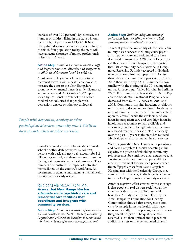increase of over 100 percent). By contrast, the number of children living in the state will only increase by 17 percent to 173,970. If New Hampshire does not begin to work on solutions to this shift in population today, the state will have an acute shortage of trained professionals in less than 15 years.

**Action Step:** *Establish a process to increase staff and improve retention, diversity and competence at all levels of the mental health workforce.*

A task force of key stakeholders needs to be convened to work with a health economist to measure the costs to the New Hampshire economy when mental illness is under diagnosed and under-treated. An October 2007 report issued by Dr. Ronald Kessler of the Harvard Medical School stated that people with depression, anxiety or other psychological

*People with depression, anxiety or other psychological disorders annually miss 1.3 billion days of work, school or other activities.*

> disorders annually miss 1.3 billion days of work, school or other daily activities. By contrast, persons with back and neck pain account for 1.2 billion days missed, and these symptoms result in the highest payments by medical insurance. These numbers demonstrate the impact of untreated mental illness on the country's workforce. An investment in training and retaining mental health practitioners is clearly needed.

# *RECOMMENDATION #6:*

#### *Assure that New Hampshire has adequate acute psychiatric care and residential care facilities that coordinate and integrate with community services.*

**Action Step:** *Establish a coalition of community mental health centers, DHHS leaders, community hospitals and other key stakeholders to recommend solutions to the loss of community inpatient beds.*

#### **Action Step:** *Build an adequate system of residential beds, providing moderate to high intensity community-based treatment.*

In recent years the availability of intensive, community-based services including acute psychiatric inpatient care and residential care have decreased dramatically. A 2005 task force studied this issue in New Hampshire. It reported that 101 community beds statewide in Designated Receiving Facilities accepted individuals who were committed to a psychiatric facility through a civil commitment process in 1998; in 2002 there were only 22. This number is now smaller with the closing of the 10-bed inpatient unit at Androscoggin Valley Hospital in Berlin in 2007. Furthermore, beds available in Acute Psychiatric Residential Treatment Programs have decreased from 52 to 17 between 2000 and 2003. Community hospital inpatient psychiatric units have also downsized or closed. Inadequate rates of reimbursement made these unfeasible to operate. Overall, while the availability of low intensity outpatient care and very high intensity involuntary treatment remain available and accessible, moderate to high intensity community-based treatment has shrunk dramatically over the past 10 years as the state has reduced Medicaid payments for mental health services.

With the growth in New Hampshire's population and New Hampshire Hospital operating at full capacity, the process of rebuilding community resources must be continued at an aggressive rate. Treatment in the community is preferable to inpatient treatment for extended periods; when the staff psychiatrists from New Hampshire Hospital met with the Leadership Group, they commented that a delay in discharge is often due to the lack of appropriate community resources.

Another negative effect created by the shortage is that people in real distress seek help at the emergency departments of local general hospitals. A study recently completed by the New Hampshire Foundation for Healthy Communities showed that emergency room visits by people in mental health crisis have increased rapidly. This is placing severe stress on the general hospitals. The quality of care received is less than optimal and it places an additional stress on the general medical staff.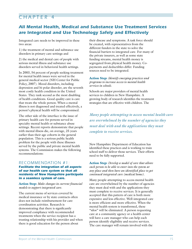# *CHAPTER 4*

# *All Mental Health, Medical and Substance Use Treatment Services are Integrated and Use Technology Safely and Effectively*

Integrated care needs to be improved in these two areas:

1) the treatment of mental and substance use disorders in primary care settings and

2) the medical and dental care of people with serious mental illness and substance use disorders served in behavioral health settings.

In 2003, 54 percent of people seeking treatment for mental health issues were served in the general medical sector (NH Center for Public Policy, 2007). Mood disorders, including depression and bi-polar disorder, are the seventh most costly health condition in the United States. They rank second as the most disabling of health conditions. Good quality care is care that treats the whole person. When a mental illness is not diagnosed and treated effectively, a person's physical health will be compromised.

The other side of the interface is the issue of primary health care for persons served in specialty mental health or substance abuse settings. Recent reports demonstrate that people with mental illness die, on average, 25 years earlier than their age cohorts in the general population. This is a serious public health problem for the people with these illnesses served by the public and private mental health systems. The Commission makes the following recommendations:

# *RECOMMENDATION #1:*

#### *Facilitate the integration of all aspects of our health care system so that all residents of New Hampshire participate in a seamless system of care.*

**Action Step:** *Make changes in current financial models to support integrated care.*

The current menu of services covered by medical insurance or by state contracts often does not include reimbursement for care coordination activities. Research is demonstrating that there is significantly improved compliance with recommended treatments when the service recipient has a trusting relationship with his provider and when there is good education for the person about

their disease and symptoms. A task force should be created, with representatives from the different funders in the state to solve the financial barriers to integrated care. For many of the private insurers, as well as some state funding streams, mental health money is segregated from physical health money. Copayments and deductibles differ. Funding sources need to be integrated.

**Action Step:** *Identify emerging practices and programs to increase access to mental health services in schools.*

Schools are major providers of mental health services to children in New Hampshire. A growing body of research identifies the treatment strategies that are effective with children. The

*Many people attempting to access mental health care are overwhelmed by the number of agencies they must deal with and the applications they must complete to receive services.*

New Hampshire Department of Education has identified these practices and is working to train school staff to deliver those services. Their efforts need to be fully supported.

**Action Step:** *Develop a model of care that allows each person to be able to enter into the system at any place and then have an identified place to get continued integrated care (medical home).*

Many people attempting to access mental health care are overwhelmed by the number of agencies they must deal with and the applications they must complete to receive services. It is generally accepted that this pattern of care is both more expensive and less effective. Well-integrated care is more efficient and more effective. When the mental health system is transformed, these "silos" will be eliminated. A person requesting care at a community agency or a health center will have a care manager who can help each person identify eligibility and receive services. The care manager will remain involved with the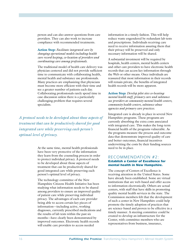person and can also answer questions from care providers. They can also work to increase compliance with recommended treatments.

#### **Action Step:** *Facilitate integrated care by changing operational models including health care record keeping, co-location of providers and coordinating care among professionals.*

The traditional model of health care delivery was physician centered and did not provide sufficient time to communicate with collaborating health, mental health and substance use professionals. Many practices are emphasizing that physicians must become more efficient with their time and see a greater number of patients each day. Collaborating professionals rarely spend time in case discussion unless there is a particularly challenging problem that requires several specialists.

*A protocol needs to be developed about those aspects of treatment that can be productively shared for good integrated care while preserving each person's optimal level of privacy.*

> At the same time, mental health professionals have been very protective of the information they learn from the counseling process in order to protect individual privacy. A protocol needs to be developed about those aspects of treatment that can be productively shared for good integrated care while preserving each person's optimal level of privacy.

The technology committee of the New Hampshire Citizens Health Initiative has been studying what information needs to be shared among providers to ensure an improved quality of patient care while preserving individual privacy. The advantages of each care provider being able to access certain key pieces of information—including active, working diagnoses, currently prescribed medications and the results of lab tests within the past six months—have clearly been demonstrated by improved outcomes. Electronic health records will enable care providers to access needed

information in a timely fashion. This will help reduce waste engendered by redundant lab tests and prescriptions. Individuals receiving care need to receive information assuring them that their privacy will be preserved and only necessary information will be shared.

A substantial investment will be required by hospitals, health centers, mental health centers and other care providers to have electronic health records that can access key information through the Web or other means. Once individuals are reassured that most information in their records will remain private, the benefits of integrated health records will be more apparent.

**Action Step:** *Develop pilot sites co-locating mental health staff, primary care and substance use providers at community mental health centers, community health centers, substance abuse agencies and primary care practices.*

Integrated care is already in place in several New Hampshire programs. These programs are currently absorbing the extra costs associated with integrated care. This makes the long-term financial health of the programs vulnerable. As the programs measure the process and outcome data that demonstrate improved quality of care and better outcomes, financial incentives underwriting the costs by their funding sources need to be in place.

#### *RECOMMENDATION #2: Establish a Center of Excellence for mental health in New Hampshire.*

The concept of Centers of Excellence is receiving attention in the United States. Some have already been established. Some are virtual institutions that are web-based and offer access to information electronically. Others are actual centers, with staff that have skills in promoting quality mental health services in the state. The Commission members felt that the development of such a center in New Hampshire could help promote the timely adoption of practices that are science-based and proven to be effective in a timely manner. A steering committee could be created to develop an infrastructure for the Center, with committee members who are representatives from business, insurance,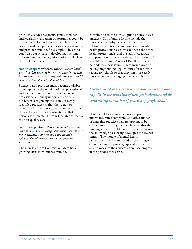providers, service recipients, family members and legislators, and grant opportunities could be pursued to help fund this center. The center could coordinate public education opportunities and provider training, for example. The center could also participate in developing outcome measures and in making information available to the public on research results.

**Action Step:** *Provide training on science-based practices that promote integrated care for mental health disorders, co-occurring substance use, health care and developmental disabilities.*

Science-based practices must become available more rapidly in the training of new professionals and the continuing education of practicing professionals. Equally important is to assist funders in recognizing the values of newly identified practices so that they begin to reimburse for them in a timely manner. Both of these efforts must be coordinated so that persons with mental illness will be able to receive the best quality care.

**Action Step:** *Assure that professional training curricula and continuing education requirements for certification and/or licensure include evidence-based practices and other priority practices.*

The New Freedom Commission identifies a growing crisis in workforce training,

contributing to the slow adoption science-based practices. Contributing factors include the retiring of the Baby Boomer generation, relatively low rates of compensation to mental health professionals as contrasted with the other health professionals, and the lack of adequate compensation for new practices. The creation of a well-functioning Center of Excellence could help address these issues. There would need to be ongoing training opportunities for faculty in secondary schools so that they can more easily stay current with emerging practices. The

*Science-based practices must become available more rapidly in the training of new professionals and the continuing education of practicing professionals.* 

Center could serve in an advisory capacity to inform insurance companies and other funders of emerging practices that are proving to be efficacious in treating mental illness so that the funding streams would more adequately mirror the knowledge base being developed at research centers. The morale of mental health practitioners will be improved by the changes envisioned in this process, especially if they are able to measure their successes and see progress in the persons they serve.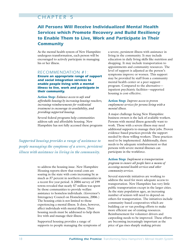# *CHAPTER 5*

# *All Persons Will Receive Individualized Mental Health Services which Promote Recovery and Build Resiliency to Enable Them to Live, Work and Participate in Their Community*

As the mental health system of New Hampshire undergoes transformation, each person will be encouraged to actively participate in managing his or her illness.

## *RECOMMENDATION #1:*

#### *Ensure an appropriate range of support and social integration services to enable people living with a mental illness to live, work and participate in their community.*

**Action Step:** *Enhance access to safe and affordable housing by increasing housing vouchers, increasing reimbursements for residential treatment to encourage its availability, and providing supported housing.*

Several federal programs help communities address safe and affordable housing. New Hampshire has not fully accessed these programs

*Supported housing provides a range of assistance to people managing the symptoms of a severe, persistent illness with assistance in living in the community.*

> to address the housing issue. New Hampshire Housing reports show that rental costs are soaring in the state with costs increasing by as much as 37 percent in northern communities in a recent five year period. A 2004 survey of 199 towns revealed that nearly \$7 million was spent by those communities to provide welfare assistance to homeless individuals. (Governor's Interagency Council on Homelessness, 2006.) The housing crisis is not limited to those experiencing a mental illness. It does, however, affect individuals with mental illness. Their housing needs must be addressed to help them live with and manage their illness.

> Supported housing provides a range of supports to people managing the symptoms of

a severe, persistent illness with assistance in living in the community. It may include education in daily living skills like nutrition and shopping. It may include transportation to appointments and community resources. The level of support is adjusted as the person's symptoms improve or worsen. This support may be provided by staff from a community mental health center or a peer support program. Compared to the alternative inpatient psychiatric facilities—supported housing is cost-effective.

#### **Action Step:** *Improve access to proven employment services for persons living with a mental illness.*

A major challenge facing New Hampshire business owners is the lack of available workers. Persons with mental illness generally want to work. Those with a severe illness may need additional supports to manage their jobs. Proven evidence-based practices provide the support needed by these willing workers. These practices need to be implemented. Additionally, there needs to be adequate reimbursement so that persons with severe mental illnesses can participate in the workforce.

**Action Step:** *Implement a transportation program to ensure all people have a means of accessing mental health services and other community services.*

Several statewide initiatives are working to address the need for more adequate access to transportation. New Hampshire has very little public transportation except in the larger cities. As the state population ages, an increasing number of seniors will need to depend on others for transportation. The initiatives include community-based cooperatives which are building car or van pooling efforts to make more efficient use of existing resources. Reimbursement for volunteer drivers and carpooling needs to be improved. These efforts are becoming increasingly important as the price of gas rises sharply making private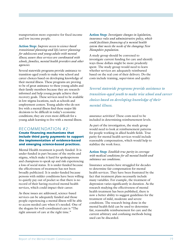transportation more expensive for fixed income and low income people.

**Action Step:** *Improve access to science-based transitional planning and life/career planning for adolescents and young adults with mental illness; assure these services are coordinated with schools, families, mental health providers and other agencies.*

Several statewide programs provide assistance to transition-aged youth to make wise school and career choices based on developing knowledge of their mental illness. These programs are proving to be of great assistance to these young adults and their family members because they are researchinformed and help young people achieve their recovery goals. These services need to be available in low stigma locations, such as schools and employment centers. Young adults who do not live with a mental illness find these major life decisions to be difficult in today's economic conditions; they are even more difficult for a young adult learning to live with a mental illness.

#### *RECOMMENDATION #2: Create financing mechanisms that include third party payments to support the implementation of evidence-based and emerging science-based practices.*

Mental Health treatment is poorly funded. It is under-funded in part because of the myths and stigma, which make it hard for spokespersons and champions to speak up and risk experiencing a loss of social status. It is under-funded because the effectiveness of treatment has not been broadly publicized. It is under-funded because persons with milder conditions have been willing to quietly pay out of pocket so that there is no record of their having received mental health services, which could impact their career.

As these issues are addressed, science-based services can be adequately funded and those people experiencing a mental illness will be able to access needed care when it's needed. One of the slogans for well-coordinated care is "The right amount of care at the right time."

**Action Step:** *Investigate changes in legislation, insurance rules and administrative policy, which could facilitate financing of a mental health system that meets the needs of the changing New Hampshire population.*

A study group should be convened to investigate current funding for care and identify ways those dollars might be more prudently spent. The study group would need to learn whether services are adequately reimbursed based on the real cost of their delivery. Do the costs include training, supervision and quality

*Several statewide programs provide assistance to transition-aged youth to make wise school and career choices based on developing knowledge of their mental illness.*

assurance activities? These costs need to be included in determining reimbursement levels.

As part of the investigation, the study group would need to look at reimbursement patterns for people working in allied health fields. True parity for mental health services would include reasonable compensation, which would help to stabilize the work force.

#### **Action Step:** *Establish true parity in coverage with medical conditions for all mental health and substance use conditions.*

Insurance actuaries have struggled for decades to determine fair compensation for mental health services. They have been frustrated by the fact that treatment plans necessarily include many variables. For example, the treatment of depression varies significantly in duration. As the research studying the effectiveness of mental health treatment has been published, there is now a better ability to suggest guidelines for the treatment of mild, moderate and severe conditions. The research being done in the mental health field can be used to determine fair, reasonable reimbursement for care and the current arbitrary and confusing methods being used can be discarded.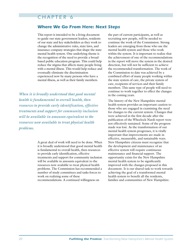# *CHAPTER 6*

## *Where We Go From Here: Next Steps*

This report is intended to be a living document to guide our state government leaders, residents of our state and key stakeholders as they work to change the administrative rules, state laws, and insurance company strategies that shape the state mental health system. One underlying theme is the recognition of the need to provide a broadbased public education program. This could help reduce the stigma that affects many people living with a mental illness. This would help reduce and eventually eliminate the discrimination experienced now by many persons who have a mental illness, as well as their family members.

*When it is broadly understood that good mental health is fundamental to overall health, then resources to provide early identification, effective treatments and support for community inclusion will be available in amounts equivalent to the resources now available to treat physical health problems.*

> A great deal of work will need to be done. When it is broadly understood that good mental health is fundamental to overall health, then resources to provide early identification, effective treatments and support for community inclusion will be available in amounts equivalent to the resources now available to treat physical health problems. The Commission has recommended a number of study committees and tasks forces to work on realizing some of these recommendations. A continued willingness on

the part of current participants, as well as recruiting new people, will be needed to continue the work of the Commission. Strong leaders are emerging from those who use the mental health system and those who work within the system. It is important to realize that the achievement of one of the recommendations in the report will move the system in the desired direction, but will not be sufficient to achieve the recommended transformation. The work of the Commission to date was achieved by a combined effort of many people working within the state system of care, the private system of care, recipients of services and their family members. This same type of people will need to continue to work together to effect the changes in the coming years.

The history of the New Hampshire mental health system provides an important caution to those who are engaged in examining the need for changes to the current system. Changes that were achieved in the first decade after the publication of the Wheelock-Nardi report were not effectively sustained. Some of the progress made was lost. As the transformation of our mental health system progresses, it is vitally important that improvements are made in effective, measurable, and sustainable ways. New Hampshire citizens must recognize that the development and maintenance of an effective system will require continuous maintenance and financial support. The opportunity exists for the New Hampshire mental health system to be significantly improved with the changes proposed in this document. It is our shared task to work towards achieving the goal of a transformed mental health system to benefit all the residents, families and communities of New Hampshire.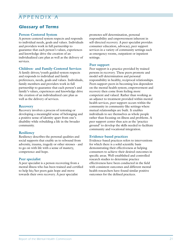# *APPENDIX A*

# *Glossary of Terms*

#### **Person-Centered System**

A person-centered system respects and responds to individual needs, goals and values. Individuals and providers work in full partnership to guarantee that each person's values, experiences and knowledge drive the creation of an individualized care plan as well as the delivery of services.

#### **Children- and Family-Centered Services**

A family driven/youth guided-system respects and responds to individual and family preferences, needs, goals and values. Individuals, family members and providers work in full partnership to guarantee that each person's and family's values, experiences and knowledge drive the creation of an individualized care plan as well as the delivery of services.

### **Recovery**

Recovery involves a process of restoring or developing a meaningful sense of belonging and a positive sense of identity apart from one's disability while rebuilding a life in the broader community.

## **Resiliency**

Resiliency describes the personal qualities and social supports that enable us to rebound from adversity, trauma, tragedy or other stresses - and to go on with life with a sense of mastery, competence and hope.

## **Peer specialist**

A peer specialist is a person recovering from a mental illness who has been trained and certified to help his/her peers gain hope and move towards their own recovery. A peer specialist

promotes self-determination, personal responsibility and empowerment inherent in self-directed recovery. A peer specialist provides consumer education, advocacy, peer support services in a variety of community settings such as emergency rooms, outpatient or inpatient settings.

## **Peer support**

Peer support is a practice provided by trained persons in recovery. These peers promote and model self-determination and personal responsibility in healthy, reciprocal relationships. Peers support peers in becoming less dependent on the mental health system; empowerment and recovery then come from feeling more competent and valued. Rather than working as an adjunct to treatment provided within mental health services, peer support occurs within the community in community-like settings where mutual relationships are built. It enables individuals to see themselves as whole people rather than focusing on illness and problems. A peer support center thus acts as the 'practice ground' to develop the skills needed to facilitate community and vocational integration.

#### **Evidence-based practices**

Evidence-based practices refers to interventions for which there is a solid scientific basis demonstrating their effectiveness at helping consumers to achieve their desired outcomes in specific areas. Well-established and controlled research studies to determine practice effectiveness have been conducted in the field with consistent outcomes and different mental health researchers have found similar positive outcomes for the defined practices.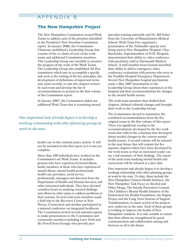# *APPENDIX B*

# *The New Hampshire Project*

The New Hampshire Commission created Work Teams to address each of the priorities identified in the President's New Freedom Commission report. In January 2006, the Commission Chairman established a Leadership Group that consists of the co-chairs of each of the work teams and additional Commission members. This Leadership Group met monthly to monitor the progress of the work of the Work Teams. The Leadership Group also established Ad Hoc committees which met to accomplish a specific task such as the writing of the key principles, the development of definitions of important terms and, most recently, to take the chapters written by each team and develop the list of recommendations to present in the first volume of the Commission report.

In January 2007, the Commission added one additional Work Team that is examining mental

*One important task already begun is to develop a working relationship with other planning groups at work in the state.*

> health care in the criminal justice system. It will not be included in this first report as it is not yet complete.

> More than 100 individuals have worked on the Commission's six Work Teams. It includes persons who have experienced mental illness, family members of those who have experienced mental illness, mental health professionals, health care providers, social service professionals, managers and directors from the Department of Health and Human Services, and other interested individuals. They have devoted countless hours to studying research findings and efforts in other states to address problems in their systems. Several work team members made a field trip to the Recovery Center in New Haven, Connecticut and another participated in a national conference on integrated healthcare. The Commission invited several national experts to make presentations to the Commission and community members including Larry Frick and Ike Powell from Georgia who provide peer

specialist training nationally and Dr. Bill Fisher from the University of Massachusetts Medical School. Work Team Five organized a presentation of the Telehealth capacity now being used at New Hampshire Hospital. Chet Batchelder, Superintendent of N.H. Hospital, demonstrated their ability to video conference with psychiatric staff at Dartmouth Medical School. A staff member from Genesis described their ability to deliver emergency video conference evaluations with persons who were at the Franklin Hospital Emergency Department. Several New Hampshire hospital psychiatrists made a May 2007 presentation to the Leadership Group about their experiences at the hospital and their recommendations for changes to the mental health system.

The work team members then drafted their chapters, debated editorial changes and brought their work to the Leadership Group.

The Commission elected to summarize the combined recommendations from the five original teams in the first volume of this report. There was significant overlap in the recommendations developed by the five work teams that reflects the consensus that developed about needed changes in the current mental health system. A second volume will be released in the near future that will contain the five separate chapters which have been developed by the work teams so that an interested reader can see a full summary of their findings. The report of the sixth team studying mental health and corrections will be released at a later date.

One important task already begun is to develop a working relationship with other planning groups at work in the state. To date, these include the New Hampshire Citizens Health Initiative, the New Hampshire Task Force on Alcohol and Other Drugs, The Suicide Prevention Council, The Children's Mental Health Initiative of the Endowment for Health Foundation, the Stigma Project and the Long Term Systems of Support Transformation, to name several of the projects now underway in the state. Each of these groups is working to improve the health of New Hampshire residents. It is only sensible to ensure that their efforts are strengthened by good communication and collaboration among and between us all in the future.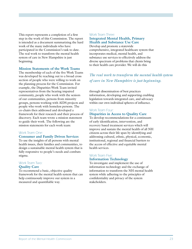This report represents a completion of a first step in the work of this Commission. The report is intended as a document summarizing the hard work of the many individuals who have participated in the Commission's task to date. The real work to transform the mental health system of care in New Hampshire is just beginning.

#### **Mission Statements of the Work Teams**

The membership of each of the five Work Teams was developed by reaching out to a broad cross section of people who were willing to work on the planning process for the Commission. For example, the Disparities Work Team invited representatives from the hearing impaired community, people who work with the seniors of our communities, persons from minority groups, persons working with AIDS projects and people who work with homeless persons. The co-chairs then addressed and developed a framework for their research and their process of discovery. Each team wrote a mission statement to guide their work. The following are the mission statements for each work team:

#### *Work Team One:*

#### **Consumer and Family Driven Services**

To use the insights of all persons with mental health issues, their families and communities, to design a sustainable mental health system that is fully responsive to people's needs and combats stigma.

#### *Work Team Two:*  **Quality Care**

To recommend a basic, objective quality framework for the mental health system that can help continuously improve our system in a measured and quantifiable way.

#### *Work Team Three:*

## **Integrated Mental Health, Primary Health and Substance Use Care**

Develop and promote a statewide comprehensive, integrated healthcare system that incorporates medical, mental health, and substance use services to effectively address the diverse spectrum of problems that clients bring to their health care provider. We will do this

# *The real work to transform the mental health system of care in New Hampshire is just beginning.*

through dissemination of best practices information, developing and supporting enabling legislation towards integrated care, and advocacy within our own individual spheres of influence.

#### *Work Team Four:*

## **Disparities in Access to Quality Care**

To develop recommendations for a continuum of early identification, intervention, and recovery based treatment services which will improve and sustain the mental health of all NH citizens across their life span by identifying and addressing cultural, ethnic, physical, economic, institutional, regional and financial barriers to the access of effective and equitable mental health services.

#### *Work Team Five:*  **Information Technology**

To investigate and implement the use of information technology and the exchange of information to transform the NH mental health system while adhering to the principles of confidentiality and privacy of the system stakeholders.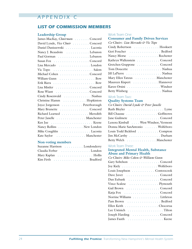# *APPENDIX C*

# *LIST OF COMMISSION MEMBERS*

## **Leadership Group**

| James MacKay, Chairman Concord  |  |
|---------------------------------|--|
| David Lynde, Vice Chair Concord |  |
| Daniel Daniszewski Laconia      |  |
| Nancy J. Beaudoin Lebanon       |  |
| Paul Gorman Lebanon             |  |
| Susan Fox Concord               |  |
| Lisa Mercado Loudon             |  |
|                                 |  |
| Michael Cohen Concord           |  |
| William Gunn Bow                |  |
|                                 |  |
| Lisa Mistler Concord            |  |
| Rose Wiant Concord              |  |
| Cindy Rosenwald Nashua          |  |
| Christine Hamm Hopkinton        |  |
| Joyce Jorgenson Peterborough    |  |
| Mary Brunette Concord           |  |
| Richard Learned Meredith        |  |
| Peter Janelle Manchester        |  |
| Ken Jue <i></i> Keene           |  |
| Nancy Rollins New London        |  |
| Mike Coughlin Laconia           |  |
| Kate Saylor Manchester          |  |

#### **Non-voting members**

| Suzanne Harrison Londonderry |
|------------------------------|
| Claudia Ferber London        |
| Mary Kaplan Hollis           |
| Kim Firth Bradford           |

#### *Work Team One:*

| <b>Consumer and Family Driven Services</b> |
|--------------------------------------------|
| Co-Chairs: Lisa Mercado & Vic Yopo         |
| Cindy Robertson Hooksett                   |
| Geri Foucher Bedford                       |
| Nancy Morse Rochester                      |
| Kathryn Wallenstein Concord                |
| Gretchen Grappone Concord                  |
| Tom Doucette Nashua                        |
| Jill LaPierre Nashua                       |
| Mary Ellen Yatzus Manchester               |
| Maureen Kispert Hannover                   |
| Karen Orsini Windsor                       |
| Betty Winberg Nashua                       |

## *Work Team Two:*

#### **Quality Systems Team**

*Co-Chairs: David Lynde & Peter Janelle*

| Ruth Bleyler Lyme                    |
|--------------------------------------|
| Bill Chausse Goffstown               |
| Jane Guilmete Concord                |
| Lenora Kimball West Windsor, Vermont |
| Donna Marie SanAntonio Wolfeboro     |
| Louis Todd Bickford Compton          |
| Jim McCarthy Durham                  |
| Betty Welch Manchester               |

### *Work Team Three:*

## **Integrated Mental Health, Substance Abuse and Primary Health**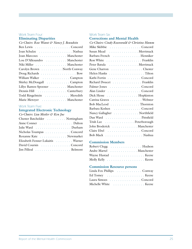## *Work Team Four:*

# **Eliminating Disparities**

#### *Work Team Five:*

# **Integrated Electronic Technology**

*Co-Chairs: Lisa Mistler & Ken Jue*

| Chester Batchelder Nottingham    |  |
|----------------------------------|--|
| Anne Conner Dalton               |  |
| Julie Ward Durham                |  |
| Nicholas Toumpas Concord         |  |
| Roxanne Kate Newmarket           |  |
| Elizabeth Fenner-Lukaitis Warner |  |
| David Coursin Concord            |  |
| Jim Pilliod Belmont              |  |

## *Work Team Six:*

## **Corrections and Mental Health**

| Co-Chairs: Cindy Rosenwald & Christine Hamm                   |
|---------------------------------------------------------------|
| Mike Skibbie (Changeline Concord)                             |
| Susan Mead Alberts Alberts Alberts Merrimack                  |
| Barbara French (Changel and Channier and Theorem and Henniker |
| Ron White Franklin                                            |
| Peter Batula Merrimack                                        |
| Gene Charron (al. 1999) Chester                               |
| Helen Hanks Tilton                                            |
| Kathi Fortin Concord                                          |
| Richard Doucet Franklin                                       |
| Palmer Jones Concord                                          |
| Alan Linder Concord                                           |
| Dick Hesse Hopkinton                                          |
| Catrina Graves Webster                                        |
| Bob MacLeod Thornton                                          |
| Barbara Keshen (Chambridge Concord)                           |
| Nancy Gallagher Northfield                                    |
| Dan Ward Albert Hansan Albert Hansan Pittsfield               |
| Trish Lee Peterborough                                        |
| John Broderick Manchester                                     |
| Claire Ebel (al., al., al., al., al., Concord                 |
| Bob Mack Nashua                                               |

### **Commission Members**

| Andre Martel Albert Handels Andre Manchester |
|----------------------------------------------|
| Wayne Hustad Keene                           |
|                                              |

# **Commission Resource persons**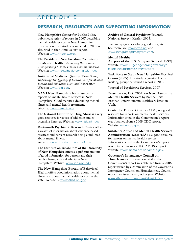# *APPENDIX D*

# *RESEARCH, RESOURCES AND SUPPORTING INFORMATION*

#### **New Hampshire Center for Public Policy**

published a series of reports in 2007 describing mental health services in New Hampshire. Information from studies completed in 2005 is also cited in the Commission's report. Website: *www.nhpolicy.org*.

**The President's New Freedom Commission on Mental Health** - *Achieving the Promise: Transforming Mental Health Care in America*. Website: *www.mentalhealthcommission.gov*.

**Institute of Medicine**. *Quality Chasm Series, Improving The Quality of Health Care for Mental Health and Substance Use Conditions* (2006) Website: *www.iom.edu*.

**NAMI New Hampshire** has a number of reports on mental health services in New Hampshire. Good materials describing mental illness and mental health treatment. Website: *www.naminh.org*.

**The National Institute on Drug Abuse** is a very good resource for issues of addiction and cooccurring illnesses. Website: *www.nida.nih.gov*.

**Dartmouth Psychiatric Research Center** offers a wealth of information about evidence based practices and current research being conducted about mental illness.

Website: *www.dms.darthmouth.edu.prc*.

**The Institute on Disabilities of the University of New Hampshire** offers a significant amount of good information for persons and their families living with a disability in New Hampshire. Website: *www.iod.unh.edu*.

**The New Hampshire Bureau of Behavioral Health** offers good information about mental illness and about mental health services in the state. Website: is *www.dhhs.nh.gov*.

**Archive of General Psychiatry Journal**, National Surveys, Kessler, 2005.

Two web pages describing good integrated healthcare are: *www.cfha.net* and *www.integratedprimarycare.com*.

#### **Mental Health:**

**A report of the U.S. Surgeon General** (1999). Website: *www.surgeongeneral.gov/library/ mentalhealth/home.html#forward*.

**Task Force to Study New Hampshire Hospital Census** (2005). This study originated from a working group that issued a report in 2005.

**Journal of Psychiatric Services**, 2007

**Presentation, Oct. 2007, on New Hampshire Mental Health Services** by Brenda Reiss-Brennan, Intermountain Healthcare based in Utah.

**Center for Disease Control (CDC)** is a good resource for reports on mental health services. Information cited in the Commission's report was obtained from a 2005 CDC report. Website: *www.cdc.gov*.

**Substance Abuse and Mental Health Services Administration (SAMHSA)** is a good resource for reports on mental health services. Information cited in the Commission's report was obtained from a 2003 SAMHSA report. Website: *www.mentalhealth.samhsa.gov*.

**Governor's Interagency Council on Homelessness**. Information cited in the Commission's report was obtained from a 2006 report issued by a commission of the Governor's Interagency Council on Homelessness. Council reports are issued every other year. Website: *www.dhr.state.md.us/transit/ts-gich.htm*.